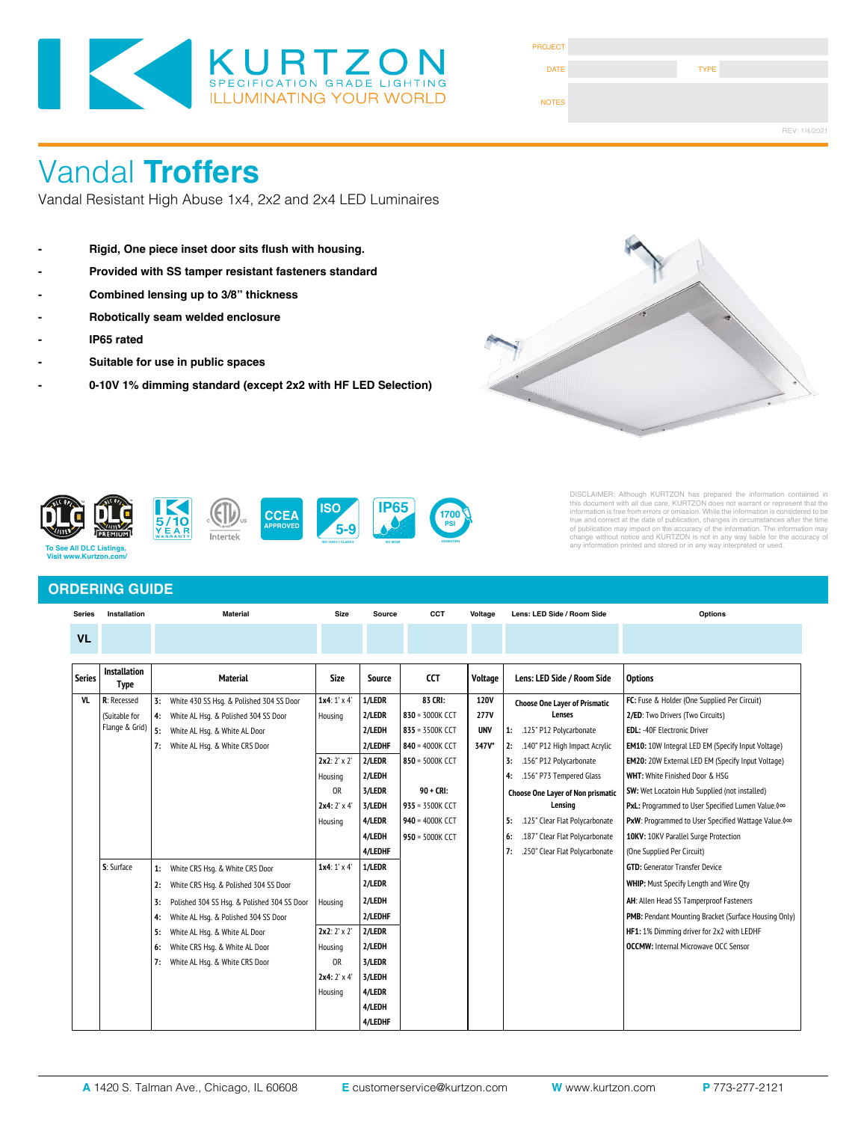

| <b>PROJECT</b> |             |               |
|----------------|-------------|---------------|
| <b>DATE</b>    | <b>TYPE</b> |               |
| <b>NOTES</b>   |             |               |
|                |             | REV: 1/4/2021 |

# Vandal **Troffers**

Vandal Resistant High Abuse 1x4, 2x2 and 2x4 LED Luminaires

- **Rigid, One piece inset door sits flush with housing.**
- **Provided with SS tamper resistant fasteners standard**
- **Combined lensing up to 3/8" thickness**
- **Robotically seam welded enclosure**
- **IP65 rated**
- **Suitable for use in public spaces**
- **0-10V 1% dimming standard (except 2x2 with HF LED Selection)**





DISCLAIMER: Although KURTZON has prepared the information contained in<br>this document with all due care, KURTZON does not warrant or represent that the<br>information is free from errors or omission. While the information is c

## **ORDERING GUIDE**

 **Visit www.Kurtzon.com/**

| <b>Series</b> | Installation                       |    | <b>Material</b>                             |                     | <b>Source</b> | CCT             | Voltage     |    | Lens: LED Side / Room Side           | Options                                                  |  |
|---------------|------------------------------------|----|---------------------------------------------|---------------------|---------------|-----------------|-------------|----|--------------------------------------|----------------------------------------------------------|--|
| <b>VL</b>     |                                    |    |                                             |                     |               |                 |             |    |                                      |                                                          |  |
|               |                                    |    |                                             |                     |               |                 |             |    |                                      |                                                          |  |
| <b>Series</b> | <b>Installation</b><br><b>Type</b> |    | <b>Material</b>                             | <b>Size</b>         | <b>Source</b> | <b>CCT</b>      | Voltage     |    | Lens: LED Side / Room Side           | <b>Options</b>                                           |  |
| <b>VL</b>     | R: Recessed                        | 3: | White 430 SS Hsq. & Polished 304 SS Door    | $1x4:1' \times 4'$  | 1/LEDR        | 83 CRI:         | 120V        |    | <b>Choose One Layer of Prismatic</b> | FC: Fuse & Holder (One Supplied Per Circuit)             |  |
|               | (Suitable for                      | 4: | White AL Hsq. & Polished 304 SS Door        | Housing             | 2/LEDR        | 830 = 3000K CCT | <b>277V</b> |    | Lenses                               | 2/ED: Two Drivers (Two Circuits)                         |  |
|               | Flange & Grid)                     | 5: | White AL Hsg. & White AL Door               |                     | 2/LEDH        | 835 = 3500K CCT | <b>UNV</b>  |    | 1: .125" P12 Polycarbonate           | <b>EDL: -40F Electronic Driver</b>                       |  |
|               |                                    | 7: | White AL Hsq. & White CRS Door              |                     | 2/LEDHF       | 840 = 4000K CCT | 347V*       |    | 2: .140" P12 High Impact Acrylic     | <b>EM10:</b> 10W Integral LED EM (Specify Input Voltage) |  |
|               |                                    |    |                                             | $2x2: 2' \times 2'$ | 2/LEDR        | 850 = 5000K CCT |             | 3: | .156" P12 Polycarbonate              | <b>EM20:</b> 20W External LED EM (Specify Input Voltage) |  |
|               |                                    |    |                                             | Housing             | 2/LEDH        |                 |             | 4: | .156" P73 Tempered Glass             | <b>WHT: White Finished Door &amp; HSG</b>                |  |
|               |                                    |    |                                             | <b>OR</b>           | 3/LEDR        | $90 + CR$       |             |    | Choose One Layer of Non prismatic    | <b>SW:</b> Wet Locatoin Hub Supplied (not installed)     |  |
|               |                                    |    |                                             | $2x4:2' \times 4'$  | 3/LEDH        | 935 = 3500K CCT |             |    | Lensina                              | PxL: Programmed to User Specified Lumen Value. 0∞        |  |
|               |                                    |    |                                             | Housing             | 4/LEDR        | 940 = 4000K CCT |             | 5: | .125" Clear Flat Polycarbonate       | PxW: Programmed to User Specified Wattage Value. 0∞      |  |
|               |                                    |    |                                             |                     | 4/LEDH        | 950 = 5000K CCT |             | 6: | .187" Clear Flat Polycarbonate       | 10KV: 10KV Parallel Surge Protection                     |  |
|               |                                    |    |                                             |                     | 4/LEDHF       |                 |             | 7: | .250" Clear Flat Polycarbonate       | (One Supplied Per Circuit)                               |  |
|               | S: Surface                         | 1: | White CRS Hsq. & White CRS Door             | $1x4:1' \times 4'$  | 1/LEDR        |                 |             |    |                                      | <b>GTD:</b> Generator Transfer Device                    |  |
|               |                                    | 2: | White CRS Hsq. & Polished 304 SS Door       |                     | 2/LEDR        |                 |             |    |                                      | <b>WHIP:</b> Must Specify Length and Wire Oty            |  |
|               |                                    | 3: | Polished 304 SS Hsq. & Polished 304 SS Door | Housing             | 2/LEDH        |                 |             |    |                                      | AH: Allen Head SS Tamperproof Fasteners                  |  |
|               |                                    | 4: | White AL Hsq. & Polished 304 SS Door        |                     | 2/LEDHF       |                 |             |    |                                      | PMB: Pendant Mounting Bracket (Surface Housing Only)     |  |
|               |                                    | 5: | White AL Hsg. & White AL Door               | $2x2:2' \times 2'$  | 2/LEDR        |                 |             |    |                                      | HF1: 1% Dimming driver for 2x2 with LEDHF                |  |
|               |                                    | 6: | White CRS Hsq. & White AL Door              | Housing             | 2/LEDH        |                 |             |    |                                      | <b>OCCMW:</b> Internal Microwave OCC Sensor              |  |
|               |                                    | 7: | White AL Hsq. & White CRS Door              | <b>OR</b>           | 3/LEDR        |                 |             |    |                                      |                                                          |  |
|               |                                    |    |                                             | $2x4:2' \times 4'$  | 3/LEDH        |                 |             |    |                                      |                                                          |  |
|               |                                    |    |                                             | Housing             | 4/LEDR        |                 |             |    |                                      |                                                          |  |
|               |                                    |    |                                             |                     | 4/LEDH        |                 |             |    |                                      |                                                          |  |
|               |                                    |    |                                             |                     | 4/LEDHF       |                 |             |    |                                      |                                                          |  |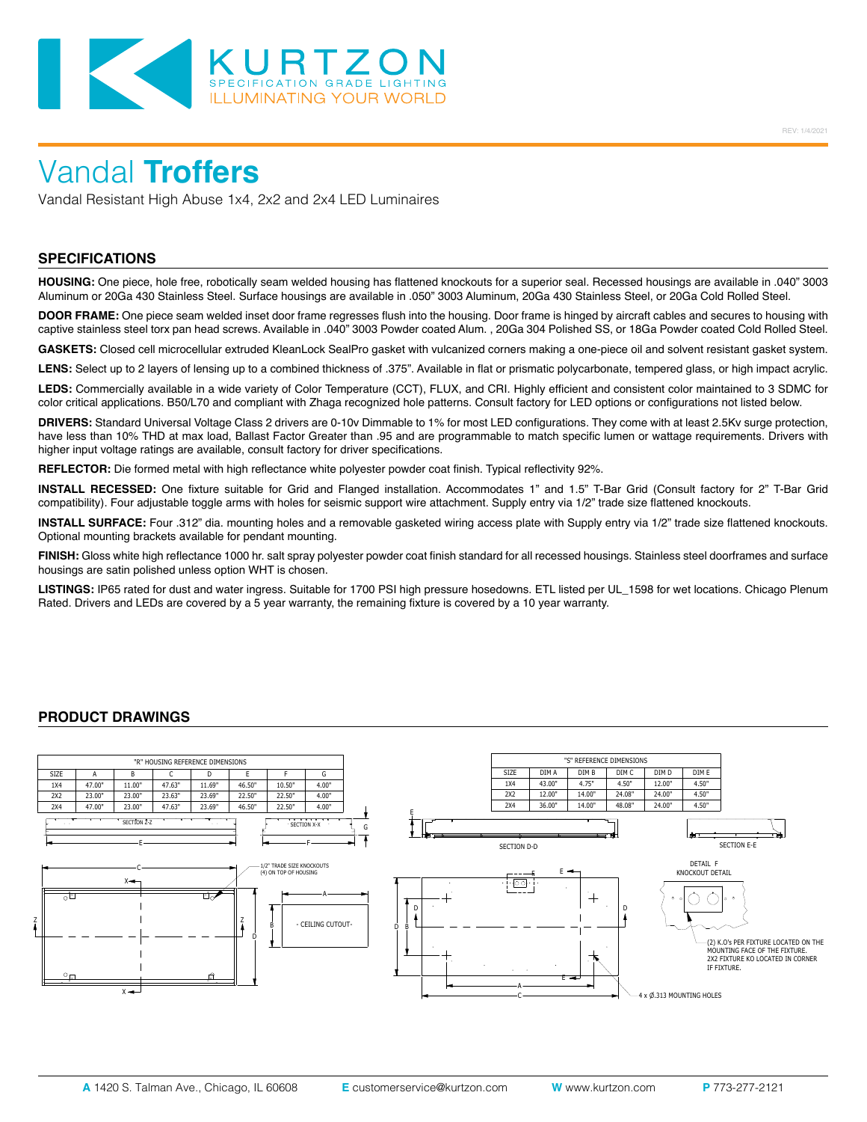

Vandal Resistant High Abuse 1x4, 2x2 and 2x4 LED Luminaires

### **SPECIFICATIONS**

**HOUSING:** One piece, hole free, robotically seam welded housing has flattened knockouts for a superior seal. Recessed housings are available in .040" 3003 Aluminum or 20Ga 430 Stainless Steel. Surface housings are available in .050" 3003 Aluminum, 20Ga 430 Stainless Steel, or 20Ga Cold Rolled Steel.

**DOOR FRAME:** One piece seam welded inset door frame regresses flush into the housing. Door frame is hinged by aircraft cables and secures to housing with captive stainless steel torx pan head screws. Available in .040" 3003 Powder coated Alum. , 20Ga 304 Polished SS, or 18Ga Powder coated Cold Rolled Steel.

**GASKETS:** Closed cell microcellular extruded KleanLock SealPro gasket with vulcanized corners making a one-piece oil and solvent resistant gasket system.

LENS: Select up to 2 layers of lensing up to a combined thickness of .375". Available in flat or prismatic polycarbonate, tempered glass, or high impact acrylic.

**LEDS:** Commercially available in a wide variety of Color Temperature (CCT), FLUX, and CRI. Highly efficient and consistent color maintained to 3 SDMC for color critical applications. B50/L70 and compliant with Zhaga recognized hole patterns. Consult factory for LED options or configurations not listed below.

**DRIVERS:** Standard Universal Voltage Class 2 drivers are 0-10v Dimmable to 1% for most LED configurations. They come with at least 2.5Kv surge protection, have less than 10% THD at max load, Ballast Factor Greater than .95 and are programmable to match specific lumen or wattage requirements. Drivers with higher input voltage ratings are available, consult factory for driver specifications.

**REFLECTOR:** Die formed metal with high reflectance white polyester powder coat finish. Typical reflectivity 92%.

**INSTALL RECESSED:** One fixture suitable for Grid and Flanged installation. Accommodates 1" and 1.5" T-Bar Grid (Consult factory for 2" T-Bar Grid compatibility). Four adjustable toggle arms with holes for seismic support wire attachment. Supply entry via 1/2" trade size flattened knockouts.

**INSTALL SURFACE:** Four .312" dia. mounting holes and a removable gasketed wiring access plate with Supply entry via 1/2" trade size flattened knockouts. Optional mounting brackets available for pendant mounting.

**FINISH:** Gloss white high reflectance 1000 hr. salt spray polyester powder coat finish standard for all recessed housings. Stainless steel doorframes and surface housings are satin polished unless option WHT is chosen.

**LISTINGS:** IP65 rated for dust and water ingress. Suitable for 1700 PSI high pressure hosedowns. ETL listed per UL\_1598 for wet locations. Chicago Plenum Rated. Drivers and LEDs are covered by a 5 year warranty, the remaining fixture is covered by a 10 year warranty.

### **PRODUCT DRAWINGS**